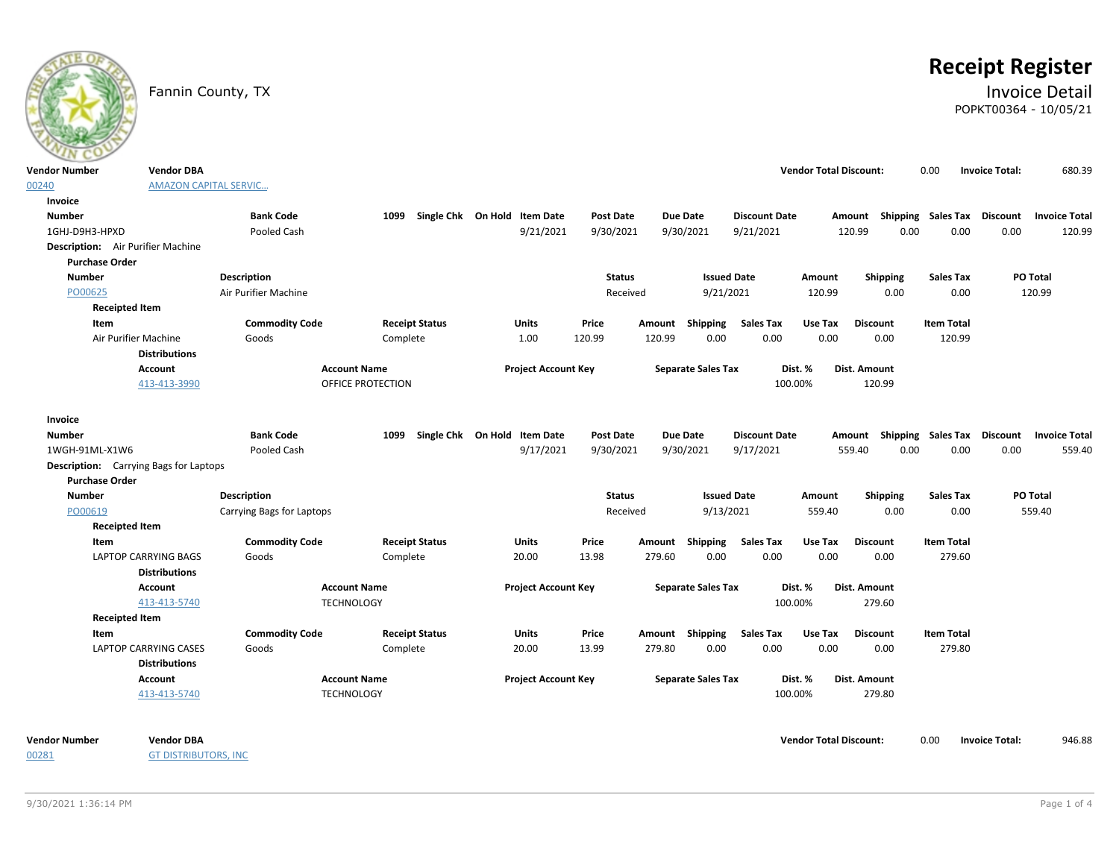# **Receipt Register**

### Fannin County, TX **Invoice Detail** POPKT00364 - 10/05/21

| $\sim$ $\sim$ $\sim$  |                                               |                           |                       |                              |                  |        |                           |                      |                               |                           |                           |                       |                      |
|-----------------------|-----------------------------------------------|---------------------------|-----------------------|------------------------------|------------------|--------|---------------------------|----------------------|-------------------------------|---------------------------|---------------------------|-----------------------|----------------------|
| <b>Vendor Number</b>  | <b>Vendor DBA</b>                             |                           |                       |                              |                  |        |                           |                      | <b>Vendor Total Discount:</b> |                           | 0.00                      | <b>Invoice Total:</b> | 680.39               |
| 00240                 | <b>AMAZON CAPITAL SERVIC</b>                  |                           |                       |                              |                  |        |                           |                      |                               |                           |                           |                       |                      |
| Invoice               |                                               |                           |                       |                              |                  |        |                           |                      |                               |                           |                           |                       |                      |
| <b>Number</b>         |                                               | <b>Bank Code</b>          | 1099                  | Single Chk On Hold Item Date | Post Date        |        | <b>Due Date</b>           | <b>Discount Date</b> |                               | Amount Shipping Sales Tax |                           | <b>Discount</b>       | <b>Invoice Total</b> |
| 1GHJ-D9H3-HPXD        |                                               | Pooled Cash               |                       | 9/21/2021                    | 9/30/2021        |        | 9/30/2021                 | 9/21/2021            |                               | 120.99<br>0.00            | 0.00                      | 0.00                  | 120.99               |
|                       | Description: Air Purifier Machine             |                           |                       |                              |                  |        |                           |                      |                               |                           |                           |                       |                      |
| <b>Purchase Order</b> |                                               |                           |                       |                              |                  |        |                           |                      |                               |                           |                           |                       |                      |
| <b>Number</b>         |                                               | <b>Description</b>        |                       |                              | <b>Status</b>    |        | <b>Issued Date</b>        |                      | Amount                        | Shipping                  | <b>Sales Tax</b>          |                       | <b>PO Total</b>      |
| PO00625               |                                               | Air Purifier Machine      |                       |                              | Received         |        | 9/21/2021                 |                      | 120.99                        | 0.00                      | 0.00                      |                       | 120.99               |
|                       | <b>Receipted Item</b>                         |                           |                       |                              |                  |        |                           |                      |                               |                           |                           |                       |                      |
| Item                  |                                               | <b>Commodity Code</b>     | <b>Receipt Status</b> | <b>Units</b>                 | Price            |        | Amount Shipping           | <b>Sales Tax</b>     | Use Tax                       | <b>Discount</b>           | <b>Item Total</b>         |                       |                      |
|                       | Air Purifier Machine                          | Goods                     | Complete              | 1.00                         | 120.99           | 120.99 | 0.00                      | 0.00                 | 0.00                          | 0.00                      | 120.99                    |                       |                      |
|                       | <b>Distributions</b>                          |                           |                       |                              |                  |        |                           |                      |                               |                           |                           |                       |                      |
|                       | Account                                       |                           | <b>Account Name</b>   | <b>Project Account Key</b>   |                  |        | <b>Separate Sales Tax</b> |                      | Dist. %                       | Dist. Amount              |                           |                       |                      |
|                       | 413-413-3990                                  |                           | OFFICE PROTECTION     |                              |                  |        |                           | 100.00%              |                               | 120.99                    |                           |                       |                      |
|                       |                                               |                           |                       |                              |                  |        |                           |                      |                               |                           |                           |                       |                      |
| Invoice               |                                               |                           |                       |                              |                  |        |                           |                      |                               |                           |                           |                       |                      |
| <b>Number</b>         |                                               | <b>Bank Code</b>          | 1099                  | Single Chk On Hold Item Date | <b>Post Date</b> |        | Due Date                  | <b>Discount Date</b> |                               | Amount                    | <b>Shipping Sales Tax</b> | <b>Discount</b>       | <b>Invoice Total</b> |
| 1WGH-91ML-X1W6        |                                               | Pooled Cash               |                       | 9/17/2021                    | 9/30/2021        |        | 9/30/2021                 | 9/17/2021            |                               | 559.40<br>0.00            | 0.00                      | 0.00                  | 559.40               |
|                       | <b>Description:</b> Carrying Bags for Laptops |                           |                       |                              |                  |        |                           |                      |                               |                           |                           |                       |                      |
| <b>Purchase Order</b> |                                               |                           |                       |                              |                  |        |                           |                      |                               |                           |                           |                       |                      |
| <b>Number</b>         |                                               | <b>Description</b>        |                       |                              | <b>Status</b>    |        | <b>Issued Date</b>        |                      | Amount                        | Shipping                  | <b>Sales Tax</b>          |                       | PO Total             |
| PO00619               |                                               | Carrying Bags for Laptops |                       |                              | Received         |        | 9/13/2021                 |                      | 559.40                        | 0.00                      | 0.00                      |                       | 559.40               |
|                       | <b>Receipted Item</b>                         |                           |                       |                              |                  |        |                           |                      |                               |                           |                           |                       |                      |
| Item                  |                                               | <b>Commodity Code</b>     | <b>Receipt Status</b> | <b>Units</b>                 | Price            | Amount | <b>Shipping</b>           | <b>Sales Tax</b>     | Use Tax                       | <b>Discount</b>           | <b>Item Total</b>         |                       |                      |
|                       | <b>LAPTOP CARRYING BAGS</b>                   | Goods                     | Complete              | 20.00                        | 13.98            | 279.60 | 0.00                      | 0.00                 | 0.00                          | 0.00                      | 279.60                    |                       |                      |
|                       | <b>Distributions</b>                          |                           |                       |                              |                  |        |                           |                      |                               |                           |                           |                       |                      |
|                       | Account                                       |                           | <b>Account Name</b>   | <b>Project Account Key</b>   |                  |        | <b>Separate Sales Tax</b> |                      | Dist. %                       | Dist. Amount              |                           |                       |                      |
|                       | 413-413-5740                                  | <b>TECHNOLOGY</b>         |                       |                              |                  |        |                           | 100.00%              |                               | 279.60                    |                           |                       |                      |
|                       | <b>Receipted Item</b>                         |                           |                       |                              |                  |        |                           |                      |                               |                           |                           |                       |                      |
| Item                  |                                               | <b>Commodity Code</b>     | <b>Receipt Status</b> | <b>Units</b>                 | Price            |        | Amount Shipping           | <b>Sales Tax</b>     | Use Tax                       | <b>Discount</b>           | <b>Item Total</b>         |                       |                      |
|                       | <b>LAPTOP CARRYING CASES</b>                  | Goods                     | Complete              | 20.00                        | 13.99            | 279.80 | 0.00                      | 0.00                 | 0.00                          | 0.00                      | 279.80                    |                       |                      |
|                       | <b>Distributions</b>                          |                           |                       |                              |                  |        |                           |                      |                               |                           |                           |                       |                      |
|                       | Account                                       |                           | <b>Account Name</b>   | <b>Project Account Key</b>   |                  |        | <b>Separate Sales Tax</b> |                      | Dist. %                       | Dist. Amount              |                           |                       |                      |
|                       | 413-413-5740                                  | <b>TECHNOLOGY</b>         |                       |                              |                  |        |                           | 100.00%              |                               | 279.80                    |                           |                       |                      |
|                       |                                               |                           |                       |                              |                  |        |                           |                      |                               |                           |                           |                       |                      |
|                       |                                               |                           |                       |                              |                  |        |                           |                      |                               |                           |                           |                       |                      |

00281

GT DISTRIBUTORS, INC

**Vendor Number Vendor Total Discount:** 946.88 **Vendor DBA** 0.00 **Invoice Total:**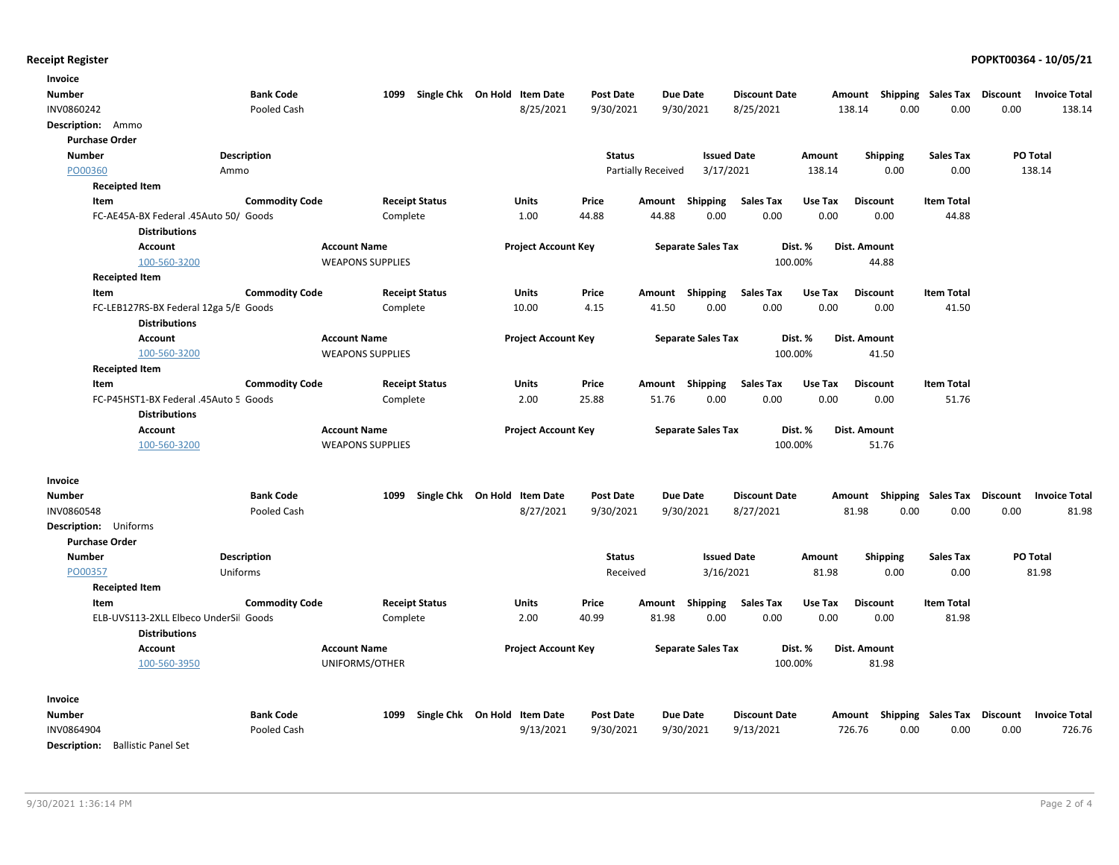| Invoice                          |                                                               |                       |                         |                       |                                   |                  |                    |                           |                      |         |                                                  |                   |      |                      |
|----------------------------------|---------------------------------------------------------------|-----------------------|-------------------------|-----------------------|-----------------------------------|------------------|--------------------|---------------------------|----------------------|---------|--------------------------------------------------|-------------------|------|----------------------|
| Number                           |                                                               | <b>Bank Code</b>      |                         |                       | 1099 Single Chk On Hold Item Date | <b>Post Date</b> |                    | Due Date                  | <b>Discount Date</b> |         | Amount Shipping Sales Tax Discount               |                   |      | <b>Invoice Total</b> |
| INV0860242                       |                                                               | Pooled Cash           |                         |                       | 8/25/2021                         | 9/30/2021        |                    | 9/30/2021                 | 8/25/2021            |         | 138.14<br>0.00                                   | 0.00              | 0.00 | 138.14               |
| Description: Ammo                |                                                               |                       |                         |                       |                                   |                  |                    |                           |                      |         |                                                  |                   |      |                      |
| <b>Purchase Order</b>            |                                                               |                       |                         |                       |                                   |                  |                    |                           |                      |         |                                                  |                   |      |                      |
| <b>Number</b>                    |                                                               | <b>Description</b>    |                         |                       |                                   | <b>Status</b>    |                    | <b>Issued Date</b>        |                      | Amount  | <b>Shipping</b>                                  | <b>Sales Tax</b>  |      | PO Total             |
| PO00360                          | Ammo                                                          |                       |                         |                       |                                   |                  | Partially Received | 3/17/2021                 |                      | 138.14  | 0.00                                             | 0.00              |      | 138.14               |
| <b>Receipted Item</b>            |                                                               |                       |                         |                       |                                   |                  |                    |                           |                      |         |                                                  |                   |      |                      |
| Item                             |                                                               | <b>Commodity Code</b> |                         | <b>Receipt Status</b> | Units                             | Price            | Amount             | Shipping                  | <b>Sales Tax</b>     | Use Tax | <b>Discount</b>                                  | <b>Item Total</b> |      |                      |
|                                  | FC-AE45A-BX Federal .45Auto 50/ Goods                         |                       |                         | Complete              | 1.00                              | 44.88            | 44.88              | 0.00                      | 0.00                 | 0.00    | 0.00                                             | 44.88             |      |                      |
|                                  | <b>Distributions</b>                                          |                       |                         |                       |                                   |                  |                    |                           |                      |         |                                                  |                   |      |                      |
|                                  | <b>Account</b>                                                |                       | <b>Account Name</b>     |                       | <b>Project Account Key</b>        |                  |                    | <b>Separate Sales Tax</b> |                      | Dist. % | Dist. Amount                                     |                   |      |                      |
|                                  | 100-560-3200                                                  |                       | <b>WEAPONS SUPPLIES</b> |                       |                                   |                  |                    |                           | 100.00%              |         | 44.88                                            |                   |      |                      |
| <b>Receipted Item</b>            |                                                               |                       |                         |                       |                                   |                  |                    |                           |                      |         |                                                  |                   |      |                      |
| Item                             |                                                               | <b>Commodity Code</b> |                         | <b>Receipt Status</b> | <b>Units</b>                      | Price            | Amount             | <b>Shipping</b>           | <b>Sales Tax</b>     | Use Tax | <b>Discount</b>                                  | <b>Item Total</b> |      |                      |
|                                  | FC-LEB127RS-BX Federal 12ga 5/E Goods<br><b>Distributions</b> |                       |                         | Complete              | 10.00                             | 4.15             | 41.50              | 0.00                      | 0.00                 | 0.00    | 0.00                                             | 41.50             |      |                      |
|                                  | Account                                                       |                       | <b>Account Name</b>     |                       | <b>Project Account Key</b>        |                  |                    | <b>Separate Sales Tax</b> |                      | Dist. % | Dist. Amount                                     |                   |      |                      |
|                                  | 100-560-3200                                                  |                       | <b>WEAPONS SUPPLIES</b> |                       |                                   |                  |                    |                           | 100.00%              |         | 41.50                                            |                   |      |                      |
| <b>Receipted Item</b>            |                                                               |                       |                         |                       |                                   |                  |                    |                           |                      |         |                                                  |                   |      |                      |
| Item                             |                                                               | <b>Commodity Code</b> |                         | <b>Receipt Status</b> | Units                             | Price            | Amount             | <b>Shipping</b>           | <b>Sales Tax</b>     | Use Tax | <b>Discount</b>                                  | <b>Item Total</b> |      |                      |
|                                  | FC-P45HST1-BX Federal .45Auto 5 Goods                         |                       |                         | Complete              | 2.00                              | 25.88            | 51.76              | 0.00                      | 0.00                 | 0.00    | 0.00                                             | 51.76             |      |                      |
|                                  | <b>Distributions</b>                                          |                       |                         |                       |                                   |                  |                    |                           |                      |         |                                                  |                   |      |                      |
|                                  | <b>Account</b>                                                |                       | <b>Account Name</b>     |                       | <b>Project Account Key</b>        |                  |                    | <b>Separate Sales Tax</b> |                      | Dist. % | Dist. Amount                                     |                   |      |                      |
|                                  | 100-560-3200                                                  |                       | <b>WEAPONS SUPPLIES</b> |                       |                                   |                  |                    |                           | 100.00%              |         | 51.76                                            |                   |      |                      |
| Invoice                          |                                                               |                       |                         |                       |                                   |                  |                    |                           |                      |         |                                                  |                   |      |                      |
| Number                           |                                                               | <b>Bank Code</b>      | 1099                    | Single Chk On Hold    | <b>Item Date</b>                  | <b>Post Date</b> |                    | <b>Due Date</b>           | <b>Discount Date</b> |         | Amount Shipping Sales Tax Discount               |                   |      | <b>Invoice Total</b> |
| INV0860548                       |                                                               | Pooled Cash           |                         |                       | 8/27/2021                         | 9/30/2021        |                    | 9/30/2021                 | 8/27/2021            |         | 81.98<br>0.00                                    | 0.00              | 0.00 | 81.98                |
| Description: Uniforms            |                                                               |                       |                         |                       |                                   |                  |                    |                           |                      |         |                                                  |                   |      |                      |
| <b>Purchase Order</b>            |                                                               |                       |                         |                       |                                   |                  |                    |                           |                      |         |                                                  |                   |      |                      |
| <b>Number</b>                    |                                                               | Description           |                         |                       |                                   | <b>Status</b>    |                    | <b>Issued Date</b>        |                      | Amount  | <b>Shipping</b>                                  | <b>Sales Tax</b>  |      | PO Total             |
| PO00357                          |                                                               | Uniforms              |                         |                       |                                   | Received         |                    | 3/16/2021                 |                      | 81.98   | 0.00                                             | 0.00              |      | 81.98                |
| <b>Receipted Item</b>            |                                                               |                       |                         |                       |                                   |                  |                    |                           |                      |         |                                                  |                   |      |                      |
| Item                             |                                                               | <b>Commodity Code</b> |                         | <b>Receipt Status</b> | Units                             | Price            | Amount             | Shipping                  | <b>Sales Tax</b>     | Use Tax | <b>Discount</b>                                  | <b>Item Total</b> |      |                      |
|                                  | ELB-UVS113-2XLL Elbeco UnderSil Goods                         |                       |                         | Complete              | 2.00                              | 40.99            | 81.98              | 0.00                      | 0.00                 | 0.00    | 0.00                                             | 81.98             |      |                      |
|                                  | <b>Distributions</b>                                          |                       |                         |                       |                                   |                  |                    |                           |                      |         |                                                  |                   |      |                      |
|                                  | Account                                                       |                       | <b>Account Name</b>     |                       | <b>Project Account Key</b>        |                  |                    | <b>Separate Sales Tax</b> |                      | Dist. % | Dist. Amount                                     |                   |      |                      |
|                                  | 100-560-3950                                                  |                       | UNIFORMS/OTHER          |                       |                                   |                  |                    |                           | 100.00%              |         | 81.98                                            |                   |      |                      |
| Invoice                          |                                                               |                       |                         |                       |                                   |                  |                    |                           |                      |         |                                                  |                   |      |                      |
| Number                           |                                                               | <b>Bank Code</b>      |                         |                       | 1099 Single Chk On Hold Item Date | <b>Post Date</b> |                    | <b>Due Date</b>           | <b>Discount Date</b> |         | Amount Shipping Sales Tax Discount Invoice Total |                   |      |                      |
| INV0864904                       |                                                               | Pooled Cash           |                         |                       | 9/13/2021                         | 9/30/2021        |                    | 9/30/2021                 | 9/13/2021            |         | 0.00<br>726.76                                   | 0.00              | 0.00 | 726.76               |
| Description: Ballistic Panel Set |                                                               |                       |                         |                       |                                   |                  |                    |                           |                      |         |                                                  |                   |      |                      |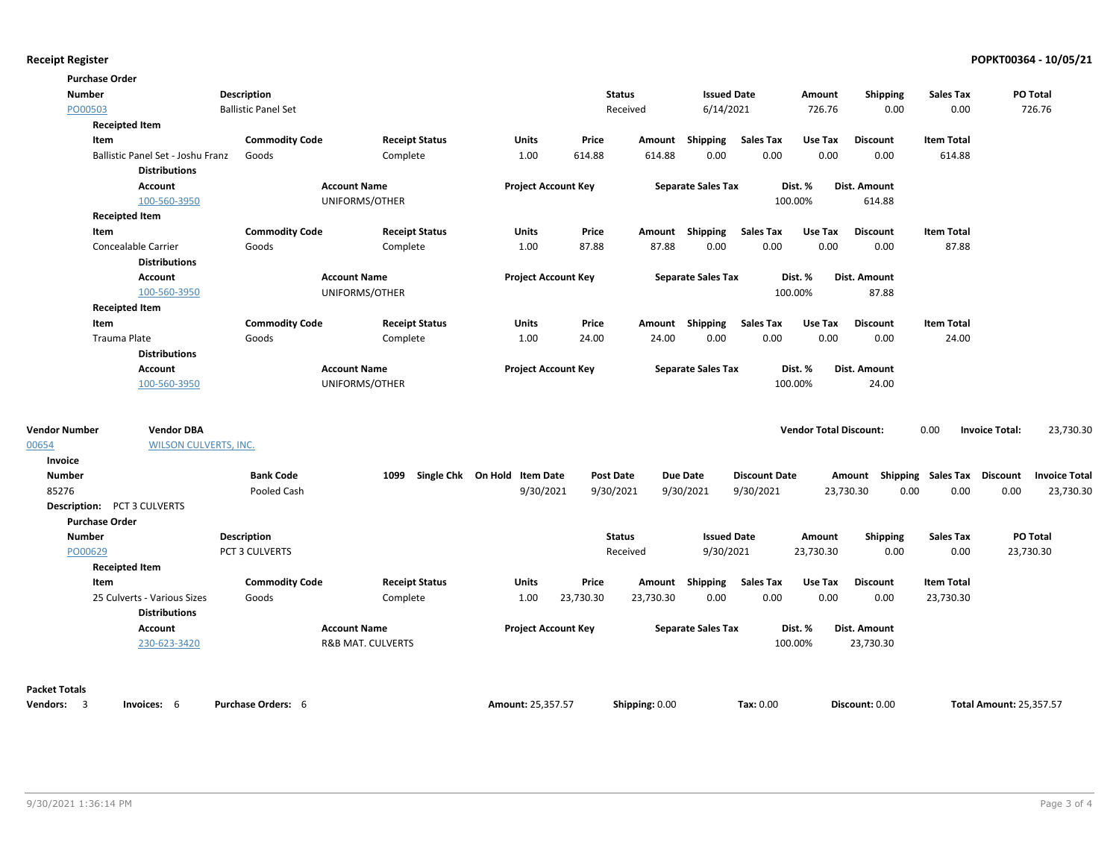| <b>Purchase Order</b>              |                                                     |                            |                                       |                              |                  |                |                           |                      |                               |                                    |                   |                                    |
|------------------------------------|-----------------------------------------------------|----------------------------|---------------------------------------|------------------------------|------------------|----------------|---------------------------|----------------------|-------------------------------|------------------------------------|-------------------|------------------------------------|
| <b>Number</b>                      |                                                     | Description                |                                       |                              |                  | <b>Status</b>  | <b>Issued Date</b>        |                      | Amount                        | <b>Shipping</b>                    | <b>Sales Tax</b>  | PO Total                           |
| PO00503                            |                                                     | <b>Ballistic Panel Set</b> |                                       |                              |                  | Received       | 6/14/2021                 |                      | 726.76                        | 0.00                               | 0.00              | 726.76                             |
| <b>Receipted Item</b>              |                                                     |                            |                                       |                              |                  |                |                           |                      |                               |                                    |                   |                                    |
| Item                               |                                                     | <b>Commodity Code</b>      | <b>Receipt Status</b>                 | Units                        | Price            |                | Amount Shipping           | <b>Sales Tax</b>     | Use Tax                       | <b>Discount</b>                    | <b>Item Total</b> |                                    |
|                                    | Ballistic Panel Set - Joshu Franz                   | Goods                      | Complete                              | 1.00                         | 614.88           | 614.88         | 0.00                      | 0.00                 | 0.00                          | 0.00                               | 614.88            |                                    |
|                                    | <b>Distributions</b>                                |                            |                                       |                              |                  |                |                           |                      |                               |                                    |                   |                                    |
|                                    | Account<br>100-560-3950                             |                            | <b>Account Name</b><br>UNIFORMS/OTHER | <b>Project Account Key</b>   |                  |                | <b>Separate Sales Tax</b> |                      | Dist. %<br>100.00%            | <b>Dist. Amount</b><br>614.88      |                   |                                    |
| <b>Receipted Item</b>              |                                                     |                            |                                       |                              |                  |                |                           |                      |                               |                                    |                   |                                    |
| Item                               |                                                     | <b>Commodity Code</b>      | <b>Receipt Status</b>                 | Units                        | Price            |                | Amount Shipping           | <b>Sales Tax</b>     | Use Tax                       | <b>Discount</b>                    | <b>Item Total</b> |                                    |
|                                    | Concealable Carrier                                 | Goods                      | Complete                              | 1.00                         | 87.88            | 87.88          | 0.00                      | 0.00                 | 0.00                          | 0.00                               | 87.88             |                                    |
|                                    | <b>Distributions</b>                                |                            |                                       |                              |                  |                |                           |                      |                               |                                    |                   |                                    |
|                                    | Account                                             |                            | <b>Account Name</b>                   | <b>Project Account Key</b>   |                  |                | <b>Separate Sales Tax</b> |                      | Dist. %                       | Dist. Amount                       |                   |                                    |
|                                    | 100-560-3950                                        |                            | UNIFORMS/OTHER                        |                              |                  |                |                           |                      | 100.00%                       | 87.88                              |                   |                                    |
| <b>Receipted Item</b>              |                                                     |                            |                                       |                              |                  |                |                           |                      |                               |                                    |                   |                                    |
| Item                               |                                                     | <b>Commodity Code</b>      | <b>Receipt Status</b>                 | Units                        | Price            |                | Amount Shipping           | <b>Sales Tax</b>     | Use Tax                       | <b>Discount</b>                    | <b>Item Total</b> |                                    |
| Trauma Plate                       |                                                     | Goods                      | Complete                              | 1.00                         | 24.00            | 24.00          | 0.00                      | 0.00                 | 0.00                          | 0.00                               | 24.00             |                                    |
|                                    | <b>Distributions</b>                                |                            |                                       |                              |                  |                |                           |                      |                               |                                    |                   |                                    |
|                                    | Account                                             |                            | <b>Account Name</b>                   | <b>Project Account Key</b>   |                  |                | <b>Separate Sales Tax</b> |                      | Dist. %                       | Dist. Amount                       |                   |                                    |
|                                    | 100-560-3950                                        |                            | UNIFORMS/OTHER                        |                              |                  |                |                           |                      | 100.00%                       | 24.00                              |                   |                                    |
| <b>Vendor Number</b>               | <b>Vendor DBA</b>                                   |                            |                                       |                              |                  |                |                           |                      | <b>Vendor Total Discount:</b> |                                    | 0.00              | 23,730.30<br><b>Invoice Total:</b> |
| 00654                              | <b>WILSON CULVERTS, INC.</b>                        |                            |                                       |                              |                  |                |                           |                      |                               |                                    |                   |                                    |
| Invoice                            |                                                     |                            |                                       |                              |                  |                |                           |                      |                               |                                    |                   |                                    |
| <b>Number</b>                      |                                                     | <b>Bank Code</b>           | 1099                                  | Single Chk On Hold Item Date | <b>Post Date</b> |                | <b>Due Date</b>           | <b>Discount Date</b> |                               | Amount Shipping Sales Tax Discount |                   | <b>Invoice Total</b>               |
| 85276                              |                                                     | Pooled Cash                |                                       | 9/30/2021                    | 9/30/2021        |                | 9/30/2021                 | 9/30/2021            |                               | 23,730.30<br>0.00                  | 0.00              | 0.00<br>23,730.30                  |
| <b>Description: PCT 3 CULVERTS</b> |                                                     |                            |                                       |                              |                  |                |                           |                      |                               |                                    |                   |                                    |
| <b>Purchase Order</b>              |                                                     |                            |                                       |                              |                  |                |                           |                      |                               |                                    |                   |                                    |
| <b>Number</b>                      |                                                     | Description                |                                       |                              |                  | <b>Status</b>  | <b>Issued Date</b>        |                      | Amount                        | <b>Shipping</b>                    | <b>Sales Tax</b>  | PO Total                           |
| PO00629                            |                                                     | PCT 3 CULVERTS             |                                       |                              |                  | Received       | 9/30/2021                 |                      | 23,730.30                     | 0.00                               | 0.00              | 23,730.30                          |
| <b>Receipted Item</b>              |                                                     |                            |                                       |                              |                  |                |                           |                      |                               |                                    |                   |                                    |
| Item                               |                                                     | <b>Commodity Code</b>      | <b>Receipt Status</b>                 | Units                        | Price            |                | Amount Shipping           | <b>Sales Tax</b>     | Use Tax                       | <b>Discount</b>                    | <b>Item Total</b> |                                    |
|                                    | 25 Culverts - Various Sizes<br><b>Distributions</b> | Goods                      | Complete                              | 1.00                         | 23,730.30        | 23,730.30      | 0.00                      | 0.00                 | 0.00                          | 0.00                               | 23,730.30         |                                    |
|                                    | Account                                             |                            | <b>Account Name</b>                   | <b>Project Account Key</b>   |                  |                | <b>Separate Sales Tax</b> |                      | Dist. %                       | Dist. Amount                       |                   |                                    |
|                                    | 230-623-3420                                        |                            | <b>R&amp;B MAT. CULVERTS</b>          |                              |                  |                |                           |                      | 100.00%                       | 23,730.30                          |                   |                                    |
| <b>Packet Totals</b>               |                                                     |                            |                                       |                              |                  |                |                           |                      |                               |                                    |                   |                                    |
| Vendors: 3                         | Invoices: 6                                         | Purchase Orders: 6         |                                       | Amount: 25.357.57            |                  | Shipping: 0.00 |                           | Tax: 0.00            |                               | Discount: 0.00                     |                   | <b>Total Amount: 25.357.57</b>     |
|                                    |                                                     |                            |                                       |                              |                  |                |                           |                      |                               |                                    |                   |                                    |